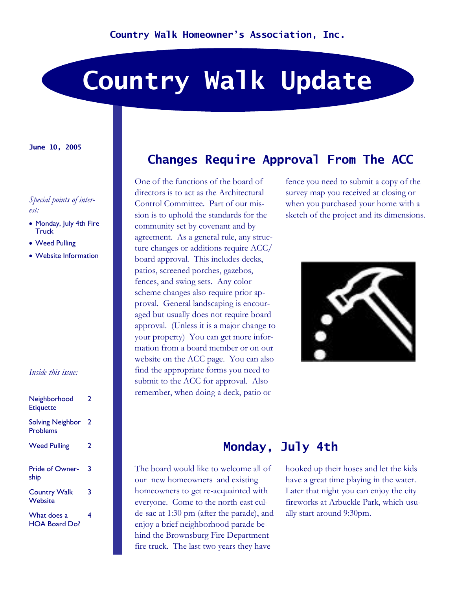# **Country Walk Update**

#### **June 10, 2005**

#### *Special points of interest:*

- Monday, July 4th Fire Truck
- Weed Pulling
- Website Information

#### *Inside this issue:*

| Neighborhood<br><b>Etiquette</b>    | 2 |
|-------------------------------------|---|
| <b>Solving Neighbor</b><br>Problems | 2 |
| <b>Weed Pulling</b>                 | 2 |
| Pride of Owner-<br>ship             | 3 |
| <b>Country Walk</b><br>Website      | 3 |
| What does a<br>HOA Board Do?        | 4 |

## **Changes Require Approval From The ACC**

One of the functions of the board of directors is to act as the Architectural Control Committee. Part of our mission is to uphold the standards for the community set by covenant and by agreement. As a general rule, any structure changes or additions require ACC/ board approval. This includes decks, patios, screened porches, gazebos, fences, and swing sets. Any color scheme changes also require prior ap proval. General landscaping is encour aged but usually does not require board approval. (Unless it is a major change to your property) You can get more infor mation from a board member or on our website on the ACC page. You can also find the appropriate forms you need to submit to the ACC for approval. Also remember, when doing a deck, patio or

fence you need to submit a copy of the survey map you received at closing or when you purchased your home with a sketch of the project and its dimensions.



## **Monday, July 4th**

The board would like to welcome all of our new homeowners and existing homeowners to get re-acquainted with everyone. Come to the north east cul de-sac at 1:30 pm (after the parade), and enjoy a brief neighborhood parade behind the Brownsburg Fire Department fire truck. The last two years they have

hooked up their hoses and let the kids have a great time playing in the water. Later that night you can enjoy the city fireworks at Arbuckle Park, which usu ally start around 9:30pm.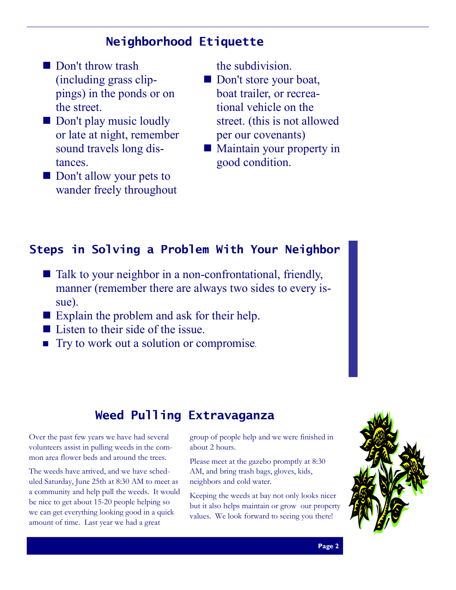# **Neighborhood Etiquette**

- Don't throw trash (including grass clip pings) in the ponds or on the street.
- Don't play music loudly or late at night, remember sound travels long distances.
- $\blacksquare$  Don't allow your pets to wander freely throughout

the subdivision.

- Don't store your boat, boat trailer, or recrea tional vehicle on the street. (this is not allowed per our covenants)
- $\blacksquare$  Maintain your property in good condition.

## **Steps in Solving a Problem With Your Neighbor**

- $\blacksquare$  Talk to your neighbor in a non-confrontational, friendly, manner (remember there are always two sides to every issue).
- $\blacksquare$  Explain the problem and ask for their help.
- $\blacksquare$  Listen to their side of the issue.
- Try to work out a solution or compromise.

# **Weed Pulling Extravaganza**

Over the past few years we have had several volunteers assist in pulling weeds in the com mon area flower beds and around the trees.

The weeds have arrived, and we have sched uled Saturday, June 25th at 8:30 AM to meet as a community and help pull the weeds. It would be nice to get about 15-20 people helping so we can get everything looking good in a quick amount of time. Last year we had a great

group of people help and we were finished in about 2 hours.

Please meet at the gazebo promptly at 8:30 AM, and bring trash bags, gloves, kids, neighbors and cold water. Keeping the weeds at bay not only looks nicer

but it also helps maintain or grow our property values. We look forward to seeing you there!

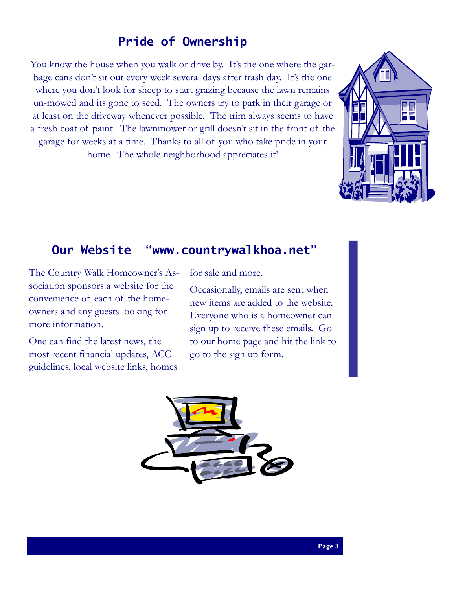# **Pride of Ownership**

You know the house when you walk or drive by. It's the one where the gar- bage cans don't sit out every week several days after trash day. It's the one where you don't look for sheep to start grazing because the lawn remains un-mowed and its gone to seed. The owners try to park in their garage or at least on the driveway whenever possible. The trim always seems to have a fresh coat of paint. The lawnmower or grill doesn't sit in the front of the garage for weeks at a time. Thanks to all of you who take pride in your home. The whole neighborhood appreciates it!



## **Our Website "www.countrywalkhoa.net"**

The Country Walk Homeowner's Association sponsors a website for the convenience of each of the homeowners and any guests looking for more information. One can find the latest news, the

most recent financial updates, ACC guidelines, local website links, homes

for sale and more. Occasionally, emails are sent when new items are added to the website. Everyone who is <sup>a</sup> homeowner can sign up to receive these emails. Go to our home page and hit the link to go to the sign up form.